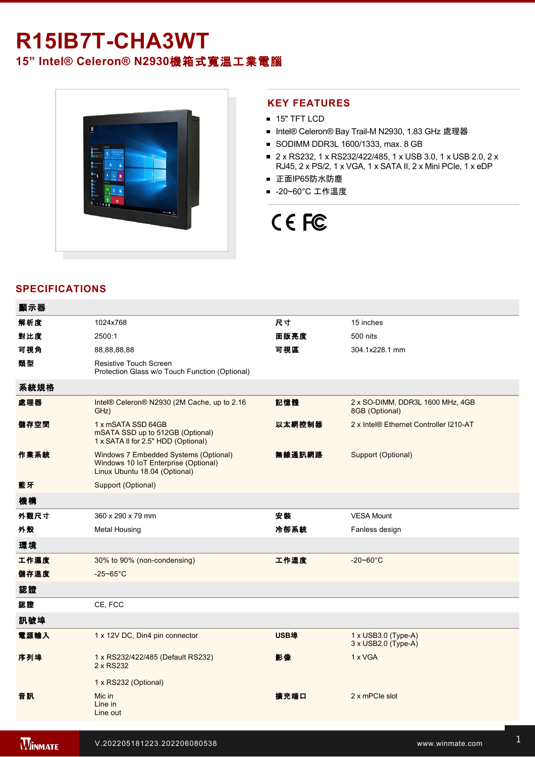# R15IB7T-CHA3WT

**15" Intel® Celeron® N2930**機箱式寬溫工業電腦



## **KEY FEATURES**

- **15" TFT LCD**
- Intel® Celeron® Bay Trail-M N2930, 1.83 GHz 處理器
- SODIMM DDR3L 1600/1333, max. 8 GB
- 2 x RS232, 1 x RS232/422/485, 1 x USB 3.0, 1 x USB 2.0, 2 x RJ45, 2 x PS/2, 1 x VGA, 1 x SATA II, 2 x Mini PCIe, 1 x eDP
- 正面IP65防水防塵
- -20~60°C 工作溫度

# CE FC

# **SPECIFICATIONS**

| 顯示器  |                                                                                                                |        |                                                    |
|------|----------------------------------------------------------------------------------------------------------------|--------|----------------------------------------------------|
| 解析度  | 1024x768                                                                                                       | 尺寸     | 15 inches                                          |
| 對比度  | 2500:1                                                                                                         | 面版亮度   | 500 nits                                           |
| 可視角  | 88,88,88,88                                                                                                    | 可視區    | 304.1x228.1 mm                                     |
| 類型   | Resistive Touch Screen<br>Protection Glass w/o Touch Function (Optional)                                       |        |                                                    |
| 系統規格 |                                                                                                                |        |                                                    |
| 處理器  | Intel® Celeron® N2930 (2M Cache, up to 2.16<br>GHz)                                                            | 記憶體    | 2 x SO-DIMM, DDR3L 1600 MHz, 4GB<br>8GB (Optional) |
| 儲存空間 | 1 x mSATA SSD 64GB<br>mSATA SSD up to 512GB (Optional)<br>1 x SATA II for 2.5" HDD (Optional)                  | 以太網控制器 | 2 x Intel® Ethernet Controller I210-AT             |
| 作業系統 | Windows 7 Embedded Systems (Optional)<br>Windows 10 IoT Enterprise (Optional)<br>Linux Ubuntu 18.04 (Optional) | 無線通訊網路 | Support (Optional)                                 |
| 藍牙   | Support (Optional)                                                                                             |        |                                                    |
| 機構   |                                                                                                                |        |                                                    |
| 外觀尺寸 | 360 x 290 x 79 mm                                                                                              | 安装     | <b>VESA Mount</b>                                  |
| 外殼   | <b>Metal Housing</b>                                                                                           | 冷卻系統   | Fanless design                                     |
| 環境   |                                                                                                                |        |                                                    |
| 工作濕度 | 30% to 90% (non-condensing)                                                                                    | 工作溫度   | $-20 - 60^{\circ}C$                                |
| 儲存溫度 | $-25 - 65$ °C                                                                                                  |        |                                                    |
| 認證   |                                                                                                                |        |                                                    |
| 認證   | CE, FCC                                                                                                        |        |                                                    |
| 訊號埠  |                                                                                                                |        |                                                    |
| 電源輸入 | 1 x 12V DC, Din4 pin connector                                                                                 | USB埠   | $1 \times$ USB3.0 (Type-A)<br>3 x USB2.0 (Type-A)  |
| 序列埠  | 1 x RS232/422/485 (Default RS232)<br>2 x RS232                                                                 | 影像     | 1 x VGA                                            |
|      | 1 x RS232 (Optional)                                                                                           |        |                                                    |
| 音訊   | Mic in<br>Line in<br>Line out                                                                                  | 擴充端口   | 2 x mPCle slot                                     |
|      |                                                                                                                |        |                                                    |